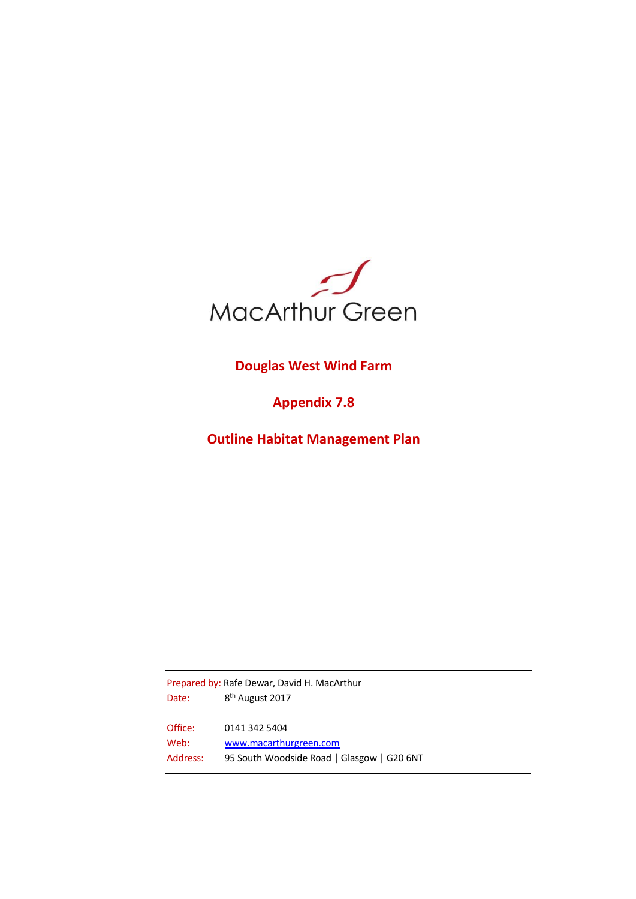

# **Douglas West Wind Farm**

# **Appendix 7.8**

**Outline Habitat Management Plan**

Prepared by: Rafe Dewar, David H. MacArthur Date: 8<sup>th</sup> August 2017 Office: 0141 342 5404 Web: [www.macarthurgreen.com](http://www.macarthurgreen.com/) Address: 95 South Woodside Road | Glasgow | G20 6NT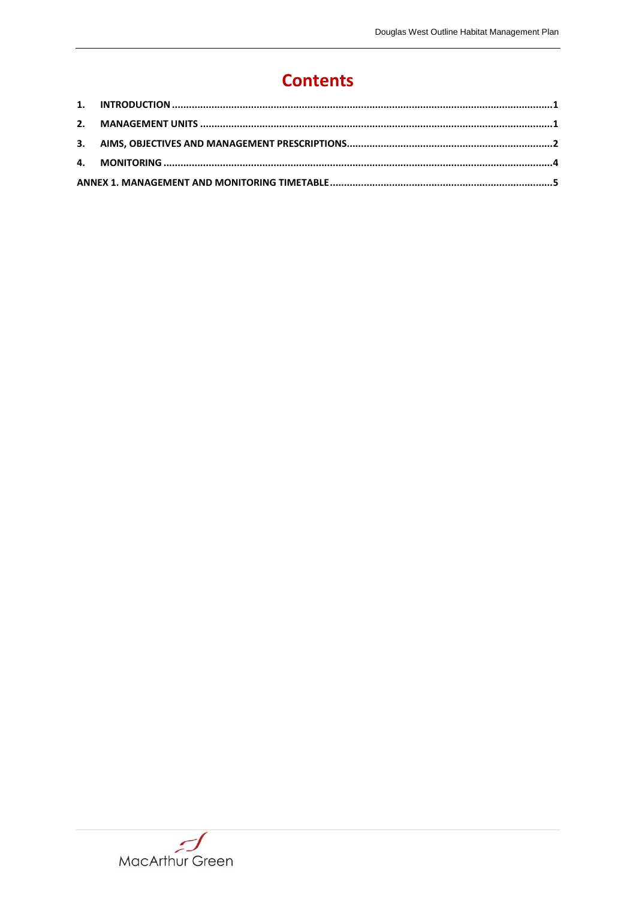# **Contents**

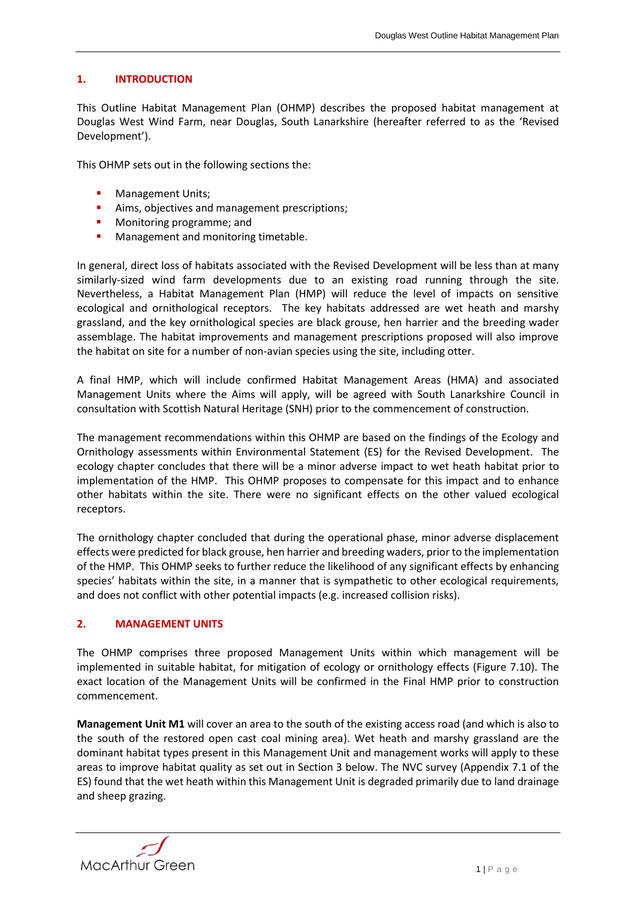# **1. INTRODUCTION**

This Outline Habitat Management Plan (OHMP) describes the proposed habitat management at Douglas West Wind Farm, near Douglas, South Lanarkshire (hereafter referred to as the 'Revised Development').

This OHMP sets out in the following sections the:

- **Management Units;**
- Aims, objectives and management prescriptions;
- **•** Monitoring programme; and
- **Management and monitoring timetable.**

In general, direct loss of habitats associated with the Revised Development will be less than at many similarly-sized wind farm developments due to an existing road running through the site. Nevertheless, a Habitat Management Plan (HMP) will reduce the level of impacts on sensitive ecological and ornithological receptors. The key habitats addressed are wet heath and marshy grassland, and the key ornithological species are black grouse, hen harrier and the breeding wader assemblage. The habitat improvements and management prescriptions proposed will also improve the habitat on site for a number of non-avian species using the site, including otter.

A final HMP, which will include confirmed Habitat Management Areas (HMA) and associated Management Units where the Aims will apply, will be agreed with South Lanarkshire Council in consultation with Scottish Natural Heritage (SNH) prior to the commencement of construction.

The management recommendations within this OHMP are based on the findings of the Ecology and Ornithology assessments within Environmental Statement (ES) for the Revised Development. The ecology chapter concludes that there will be a minor adverse impact to wet heath habitat prior to implementation of the HMP. This OHMP proposes to compensate for this impact and to enhance other habitats within the site. There were no significant effects on the other valued ecological receptors.

The ornithology chapter concluded that during the operational phase, minor adverse displacement effects were predicted for black grouse, hen harrier and breeding waders, prior to the implementation of the HMP. This OHMP seeks to further reduce the likelihood of any significant effects by enhancing species' habitats within the site, in a manner that is sympathetic to other ecological requirements, and does not conflict with other potential impacts (e.g. increased collision risks).

#### **2. MANAGEMENT UNITS**

The OHMP comprises three proposed Management Units within which management will be implemented in suitable habitat, for mitigation of ecology or ornithology effects (Figure 7.10). The exact location of the Management Units will be confirmed in the Final HMP prior to construction commencement.

**Management Unit M1** will cover an area to the south of the existing access road (and which is also to the south of the restored open cast coal mining area). Wet heath and marshy grassland are the dominant habitat types present in this Management Unit and management works will apply to these areas to improve habitat quality as set out in Section 3 below. The NVC survey (Appendix 7.1 of the ES) found that the wet heath within this Management Unit is degraded primarily due to land drainage and sheep grazing.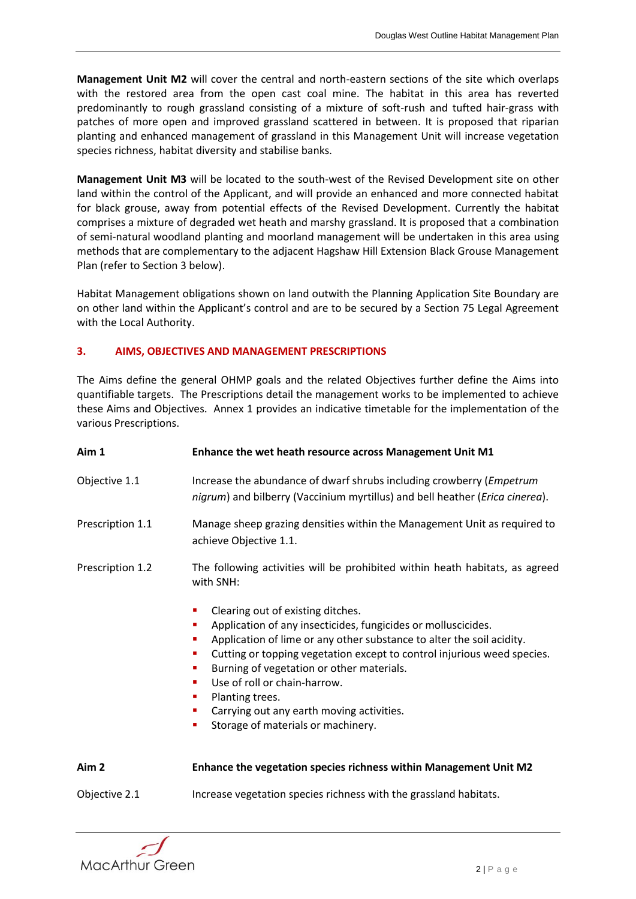**Management Unit M2** will cover the central and north-eastern sections of the site which overlaps with the restored area from the open cast coal mine. The habitat in this area has reverted predominantly to rough grassland consisting of a mixture of soft-rush and tufted hair-grass with patches of more open and improved grassland scattered in between. It is proposed that riparian planting and enhanced management of grassland in this Management Unit will increase vegetation species richness, habitat diversity and stabilise banks.

**Management Unit M3** will be located to the south-west of the Revised Development site on other land within the control of the Applicant, and will provide an enhanced and more connected habitat for black grouse, away from potential effects of the Revised Development. Currently the habitat comprises a mixture of degraded wet heath and marshy grassland. It is proposed that a combination of semi-natural woodland planting and moorland management will be undertaken in this area using methods that are complementary to the adjacent Hagshaw Hill Extension Black Grouse Management Plan (refer to Section 3 below).

Habitat Management obligations shown on land outwith the Planning Application Site Boundary are on other land within the Applicant's control and are to be secured by a Section 75 Legal Agreement with the Local Authority.

# **3. AIMS, OBJECTIVES AND MANAGEMENT PRESCRIPTIONS**

The Aims define the general OHMP goals and the related Objectives further define the Aims into quantifiable targets. The Prescriptions detail the management works to be implemented to achieve these Aims and Objectives. Annex 1 provides an indicative timetable for the implementation of the various Prescriptions.

| Aim 1            | Enhance the wet heath resource across Management Unit M1                                                                                                                                                                                                                                                                                                                                                                                                                               |  |  |  |  |  |  |  |  |  |
|------------------|----------------------------------------------------------------------------------------------------------------------------------------------------------------------------------------------------------------------------------------------------------------------------------------------------------------------------------------------------------------------------------------------------------------------------------------------------------------------------------------|--|--|--|--|--|--|--|--|--|
| Objective 1.1    | Increase the abundance of dwarf shrubs including crowberry ( <i>Empetrum</i><br>nigrum) and bilberry (Vaccinium myrtillus) and bell heather ( <i>Erica cinerea</i> ).                                                                                                                                                                                                                                                                                                                  |  |  |  |  |  |  |  |  |  |
| Prescription 1.1 | Manage sheep grazing densities within the Management Unit as required to<br>achieve Objective 1.1.                                                                                                                                                                                                                                                                                                                                                                                     |  |  |  |  |  |  |  |  |  |
| Prescription 1.2 | The following activities will be prohibited within heath habitats, as agreed<br>with SNH:                                                                                                                                                                                                                                                                                                                                                                                              |  |  |  |  |  |  |  |  |  |
|                  | Clearing out of existing ditches.<br>п<br>Application of any insecticides, fungicides or molluscicides.<br>п<br>Application of lime or any other substance to alter the soil acidity.<br>п<br>Cutting or topping vegetation except to control injurious weed species.<br>ш<br>Burning of vegetation or other materials.<br>ш<br>Use of roll or chain-harrow.<br>٠<br>Planting trees.<br>ш<br>Carrying out any earth moving activities.<br>ш<br>Storage of materials or machinery.<br>П |  |  |  |  |  |  |  |  |  |
| Aim <sub>2</sub> | Enhance the vegetation species richness within Management Unit M2                                                                                                                                                                                                                                                                                                                                                                                                                      |  |  |  |  |  |  |  |  |  |
| Objective 2.1    | Increase vegetation species richness with the grassland habitats.                                                                                                                                                                                                                                                                                                                                                                                                                      |  |  |  |  |  |  |  |  |  |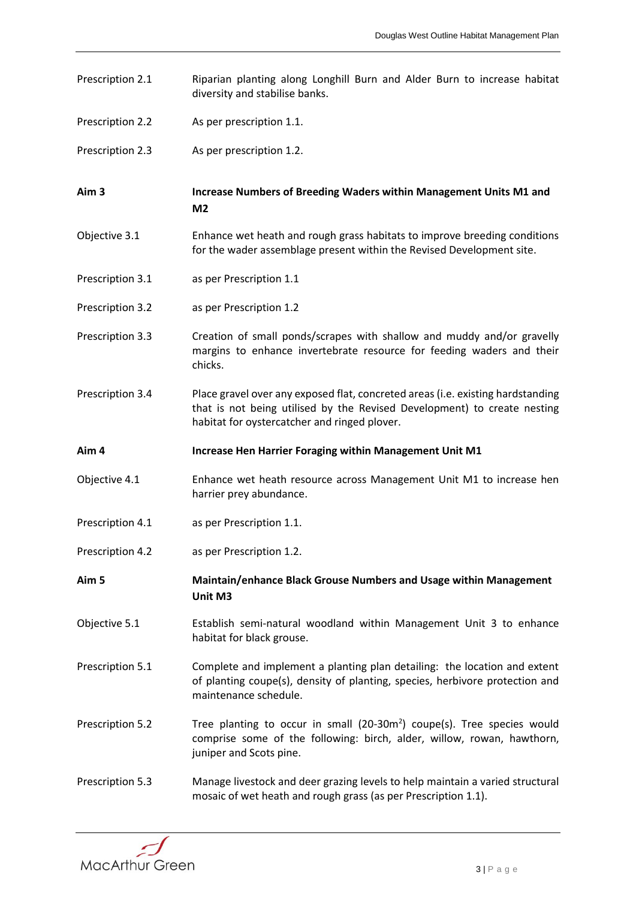- Prescription 2.1 Riparian planting along Longhill Burn and Alder Burn to increase habitat diversity and stabilise banks.
- Prescription 2.2 As per prescription 1.1.
- Prescription 2.3 As per prescription 1.2.

**Aim 3 Increase Numbers of Breeding Waders within Management Units M1 and M2**

- Objective 3.1 Enhance wet heath and rough grass habitats to improve breeding conditions for the wader assemblage present within the Revised Development site.
- Prescription 3.1 as per Prescription 1.1
- Prescription 3.2 as per Prescription 1.2
- Prescription 3.3 Creation of small ponds/scrapes with shallow and muddy and/or gravelly margins to enhance invertebrate resource for feeding waders and their chicks.
- Prescription 3.4 Place gravel over any exposed flat, concreted areas (i.e. existing hardstanding that is not being utilised by the Revised Development) to create nesting habitat for oystercatcher and ringed plover.
- **Aim 4 Increase Hen Harrier Foraging within Management Unit M1**
- Objective 4.1 Enhance wet heath resource across Management Unit M1 to increase hen harrier prey abundance.
- Prescription 4.1 as per Prescription 1.1.
- Prescription 4.2 as per Prescription 1.2.

**Aim 5 Maintain/enhance Black Grouse Numbers and Usage within Management Unit M3**

- Objective 5.1 Establish semi-natural woodland within Management Unit 3 to enhance habitat for black grouse.
- Prescription 5.1 Complete and implement a planting plan detailing: the location and extent of planting coupe(s), density of planting, species, herbivore protection and maintenance schedule.
- Prescription 5.2 Tree planting to occur in small  $(20-30m^2)$  coupe(s). Tree species would comprise some of the following: birch, alder, willow, rowan, hawthorn, juniper and Scots pine.
- Prescription 5.3 Manage livestock and deer grazing levels to help maintain a varied structural mosaic of wet heath and rough grass (as per Prescription 1.1).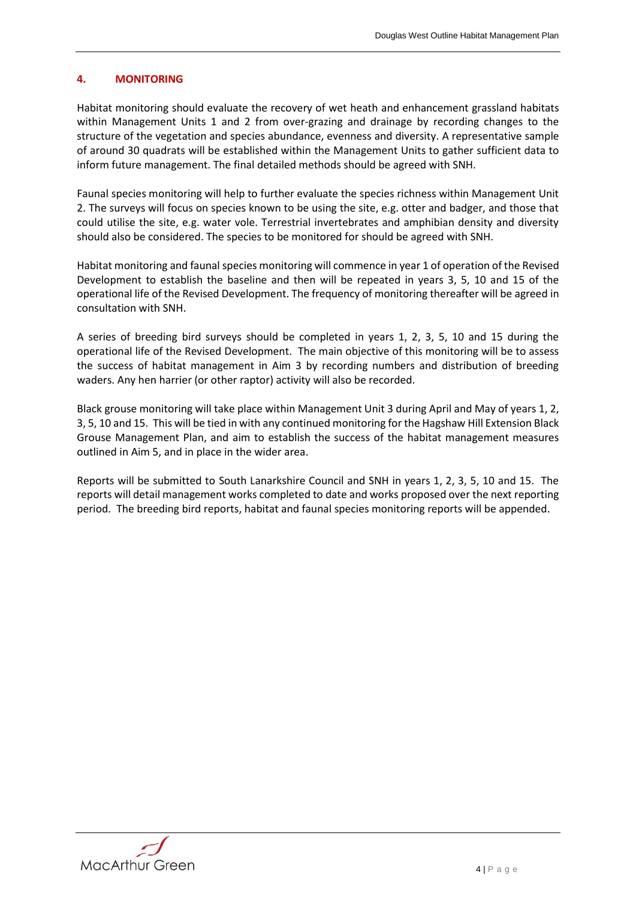# **4. MONITORING**

Habitat monitoring should evaluate the recovery of wet heath and enhancement grassland habitats within Management Units 1 and 2 from over-grazing and drainage by recording changes to the structure of the vegetation and species abundance, evenness and diversity. A representative sample of around 30 quadrats will be established within the Management Units to gather sufficient data to inform future management. The final detailed methods should be agreed with SNH.

Faunal species monitoring will help to further evaluate the species richness within Management Unit 2. The surveys will focus on species known to be using the site, e.g. otter and badger, and those that could utilise the site, e.g. water vole. Terrestrial invertebrates and amphibian density and diversity should also be considered. The species to be monitored for should be agreed with SNH.

Habitat monitoring and faunal species monitoring will commence in year 1 of operation of the Revised Development to establish the baseline and then will be repeated in years 3, 5, 10 and 15 of the operational life of the Revised Development. The frequency of monitoring thereafter will be agreed in consultation with SNH.

A series of breeding bird surveys should be completed in years 1, 2, 3, 5, 10 and 15 during the operational life of the Revised Development. The main objective of this monitoring will be to assess the success of habitat management in Aim 3 by recording numbers and distribution of breeding waders. Any hen harrier (or other raptor) activity will also be recorded.

Black grouse monitoring will take place within Management Unit 3 during April and May of years 1, 2, 3, 5, 10 and 15. This will be tied in with any continued monitoring for the Hagshaw Hill Extension Black Grouse Management Plan, and aim to establish the success of the habitat management measures outlined in Aim 5, and in place in the wider area.

Reports will be submitted to South Lanarkshire Council and SNH in years 1, 2, 3, 5, 10 and 15. The reports will detail management works completed to date and works proposed over the next reporting period. The breeding bird reports, habitat and faunal species monitoring reports will be appended.